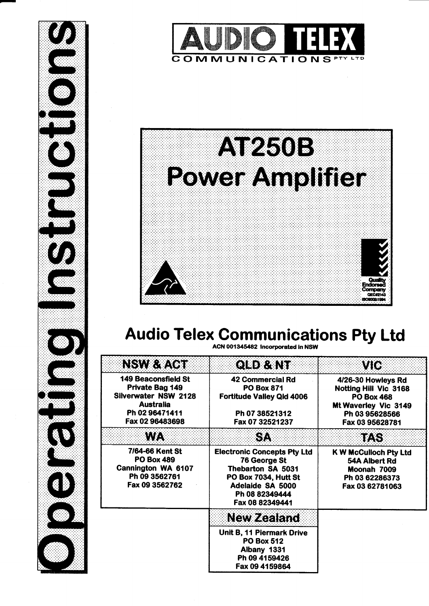





# Audio Telex Communications Pty Ltd

| <b>NSW &amp; ACT</b>                                                                                                           | <b>QLD &amp; NT</b>                                                                                                                                      | VIC                                                                                                                           |
|--------------------------------------------------------------------------------------------------------------------------------|----------------------------------------------------------------------------------------------------------------------------------------------------------|-------------------------------------------------------------------------------------------------------------------------------|
| <b>149 Beaconsfield St</b><br>Private Bag 149<br>Silverwater NSW 2128<br><b>Australia</b><br>Ph 02 96471411<br>Fax 02 96483698 | 42 Commercial Rd<br><b>PO Box 871</b><br><b>Fortitude Valley Qid 4006</b><br>Ph 07 38521312<br>Fax 07 32521237                                           | 4/26-30 Howleys Rd<br>Notting Hill Vic 3168<br><b>PO Box 468</b><br>Mt Waverley Vic 3149<br>Ph 03 95628566<br>Fax 03 95628781 |
| <b>WA</b>                                                                                                                      | <b>SA</b>                                                                                                                                                | <b>TAS</b>                                                                                                                    |
| 7/64-66 Kent St<br><b>PO Box 489</b><br>Cannington WA 6107<br>Ph 09 3562761<br>Fax 09 3562762                                  | <b>Electronic Concepts Pty Ltd</b><br>76 George St<br>Thebarton SA 5031<br>PO Box 7034, Hutt St<br>Adelaide SA 5000<br>Ph 08 82349444<br>Fax 08 82349441 | <b>K W McCulloch Pty Ltd</b><br>54A Albert Rd<br>Moonah 7009<br>Ph 03 62286373<br>Fax 03 62781063                             |
|                                                                                                                                | <b>New Zealand</b>                                                                                                                                       |                                                                                                                               |
|                                                                                                                                | Unit B, 11 Piermark Drive<br><b>PO Box 512</b><br>Albany 1331<br>Ph 09 4159426<br>Fax 09 4159864                                                         |                                                                                                                               |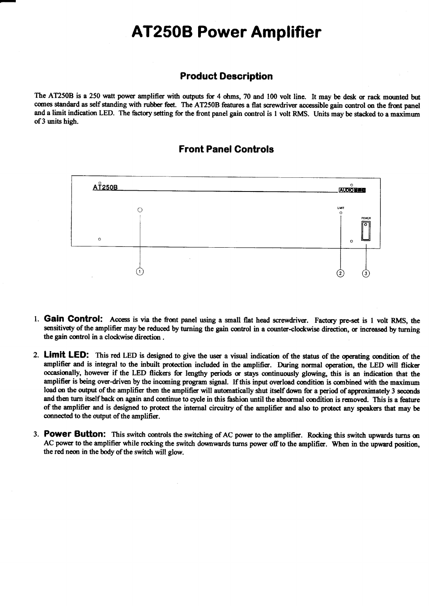## AT250B Power Amplifier

#### Product Description

The AT250B is a 250 watt power amplifier with outputs for 4 ohms, 70 and 100 volt line. It may be desk or rack mounted but comes standard as self standing with rubber feet. The AT250B features a flat screwdriver accessible gain control on the front panel and a limit indication LED. The factory setting for the front panel gain control is 1 volt RMS. Units may be stacked to a maximum of 3 units high.

#### Front Panel Controls



- l. Galn Gontrol: Access is via the front panel using a small flat head screwdriver. Factay pre-set is 1 volt RMS, the sensitivety of the amplifier may be reduced by turning the gain control in a counter-clockwise direction, or increased by turning the gain control in a clockwise direction .
- 2. Limit LED: This red LED is designed to give the user a visual indication of the status of the operating condition of the amplifier and is integral to the inbuilt protection included in the amplifier. During normal operation, the LED will flicker occasionally, however if the LED flickers for lengthy periods or stays continuously glowing, this is an indication that the amplifier is being over-driven by the incoming program signal. If this input overload condition is combined with the maximum load on the output of the amplifier then the amplifier will automatically shut itself down for a period of approximately 3 seconds and then turn itself back on again and continue to cycle in this fashion until the abnormal condition is removed. This is a feature of the amplifier and is designed to protect the internal circuitry of the amplifier and also to protect any speakers that may be connected to the output of the amplifier.
- 3. Power Button: This switch controls the switching of AC power to the amplifier. Rocking this switch upwards turns on AC power to the amplifier while rocking the switch downwards turns power off to the amplifier. When in the upward position, the red nem in the body of the switch will glow.